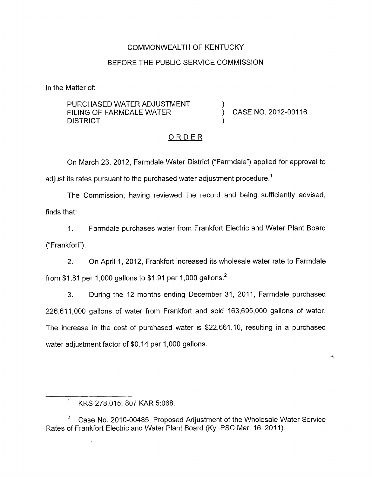# COMMONWEALTH OF KENTUCKY

# BEFORE THE PUBLIC SERVICE COMMISSION

In the Matter of:

PURCHASED WATER ADJUSTMENT FILING OF FARMDALE WATER  $\overrightarrow{)}$  CASE NO. 2012-00116 **DISTRICT** 

×,

# ORDER

On March 23, 2012, Farmdale Water District ("Farmdale") applied for approval to adjust its rates pursuant to the purchased water adjustment procedure.<sup>1</sup>

The Commission, having reviewed the record and being sufficiently advised, finds that:

1. Farmdale purchases water from Frankfort Electric and Water Plant Board ("Frankfort").

2. On April 1, 2012, Frankfort increased its wholesale water rate to Farmdale from \$1.81 per 1,000 gallons to \$1.91 per 1,000 gallons.<sup>2</sup>

3. During the 12 months ending December 31, 2011, Farmdale purchased 226,611,000 gallons of water from Frankfort and sold 163,695,000 gallons of water. The increase in the cost of purchased water is \$22,661.10, resulting in a purchased water adjustment factor of \$0.14 per 1,000 gallons.

 $\overline{a}$ Case No. 2010-00485, Proposed Adjustment of the Wholesale Water Service Rates of Frankfort Electric and Water Plant Board (Ky. PSC Mar. 16, 2011).

 $1$  KRS 278.015; 807 KAR 5:068.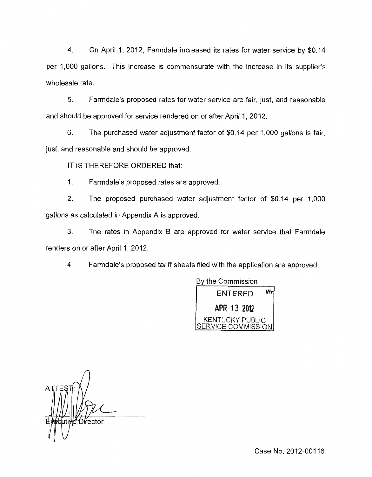4. On April 1, 2012, Farmdale increased its rates for water service by \$0.14 per 1,000 gallons. This increase is commensurate with the increase in its supplier's wholesale rate.

*5.* Farmdale's proposed rates for water service are fair, just, and reasonable and should be approved for service rendered on or after April 1, 2012.

6. The purchased water adjustment factor of \$0.14 per 1,000 gallons is fair, just, and reasonable and should be approved.

IT IS THEREFORE ORDERED that:

1. Farmdale's proposed rates are approved.

2. The proposed purchased water adjustment factor of \$0.14 per 1,000 gallons as calculated in Appendix A is approved.

**3.** The rates in Appendix B are approved for water service that Farmdale renders on or after April 1, 2012.

4. Farmdale's proposed tariff sheets filed with the application are approved.



*n*  Director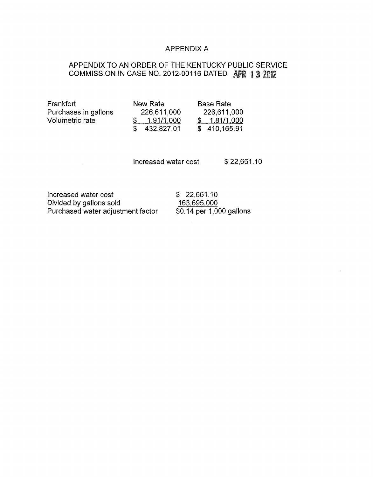### APPENDIX A

# APPENDIX TO AN ORDER OF THE KENTUCKY PUBLIC SERVICE COMMISSION IN CASE NO. 2012-00116 DATED APR 1 3 2012

| Frankfort            | New Rate     | <b>Base Rate</b> |
|----------------------|--------------|------------------|
| Purchases in gallons | 226,611,000  | 226,611,000      |
| Volumetric rate      | 1.91/1.000   | \$1.81/1.000     |
|                      | \$432,827.01 | \$410,165.91     |

 $$ 1.81/1,000$  $\overline{$}$  410,165.91

Increased water cost \$22,661.10

Increased water cost  $$ 22,661.10$ Divided by gallons sold<br>
Purchased water adjustment factor  $\frac{163,695,000}{0.14}$  per 1,000 gallons Purchased water adjustment factor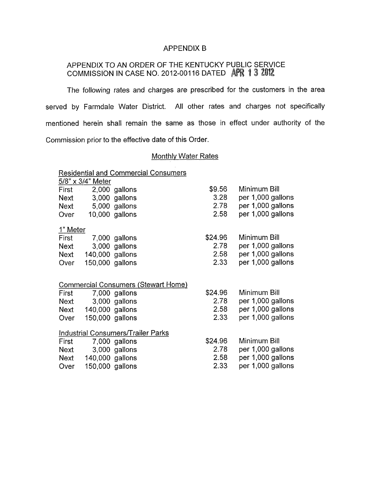#### APPENDIX B

# APPENDIX TO AN ORDER OF THE KENTUCKY PUBLIC SERVICE COMMISSION IN CASE NO. 2012-00116 DATED APR 13 2012

The following rates and charges are prescribed for the customers in the area served by Farmdale Water District. All other rates and charges not specifically mentioned herein shall remain the same as those in effect under authority of the Commission prior to the effective date of this Order.

# **Monthly Water Rates**

| <b>Residential and Commercial Consumers</b> |                   |                |         |                   |  |
|---------------------------------------------|-------------------|----------------|---------|-------------------|--|
|                                             | 5/8" x 3/4" Meter |                |         |                   |  |
| First                                       |                   | 2,000 gallons  | \$9.56  | Minimum Bill      |  |
| Next                                        |                   | 3,000 gallons  | 3.28    | per 1,000 gallons |  |
| Next                                        |                   | 5,000 gallons  | 2.78    | per 1,000 gallons |  |
| Over                                        |                   | 10,000 gallons | 2.58    | per 1,000 gallons |  |
| 1" Meter                                    |                   |                |         |                   |  |
| First                                       |                   | 7,000 gallons  | \$24.96 | Minimum Bill      |  |
| <b>Next</b>                                 |                   | 3,000 gallons  | 2.78    | per 1,000 gallons |  |
| <b>Next</b>                                 | 140,000 gallons   |                | 2.58    | per 1,000 gallons |  |
| Over                                        | 150,000 gallons   |                | 2.33    | per 1,000 gallons |  |
| <b>Commercial Consumers (Stewart Home)</b>  |                   |                |         |                   |  |
| First                                       |                   | 7,000 gallons  | \$24.96 | Minimum Bill      |  |
| <b>Next</b>                                 |                   | 3,000 gallons  | 2.78    | per 1,000 gallons |  |
| Next                                        | 140,000 gallons   |                | 2.58    | per 1,000 gallons |  |
| Over                                        | 150,000 gallons   |                | 2.33    | per 1,000 gallons |  |
| <b>Industrial Consumers/Trailer Parks</b>   |                   |                |         |                   |  |
| First                                       |                   | 7,000 gallons  | \$24.96 | Minimum Bill      |  |
| <b>Next</b>                                 |                   | 3,000 gallons  | 2.78    | per 1,000 gallons |  |
| Next                                        | 140,000 gallons   |                | 2.58    | per 1,000 gallons |  |
| Over                                        | 150,000 gallons   |                | 2.33    | per 1,000 gallons |  |